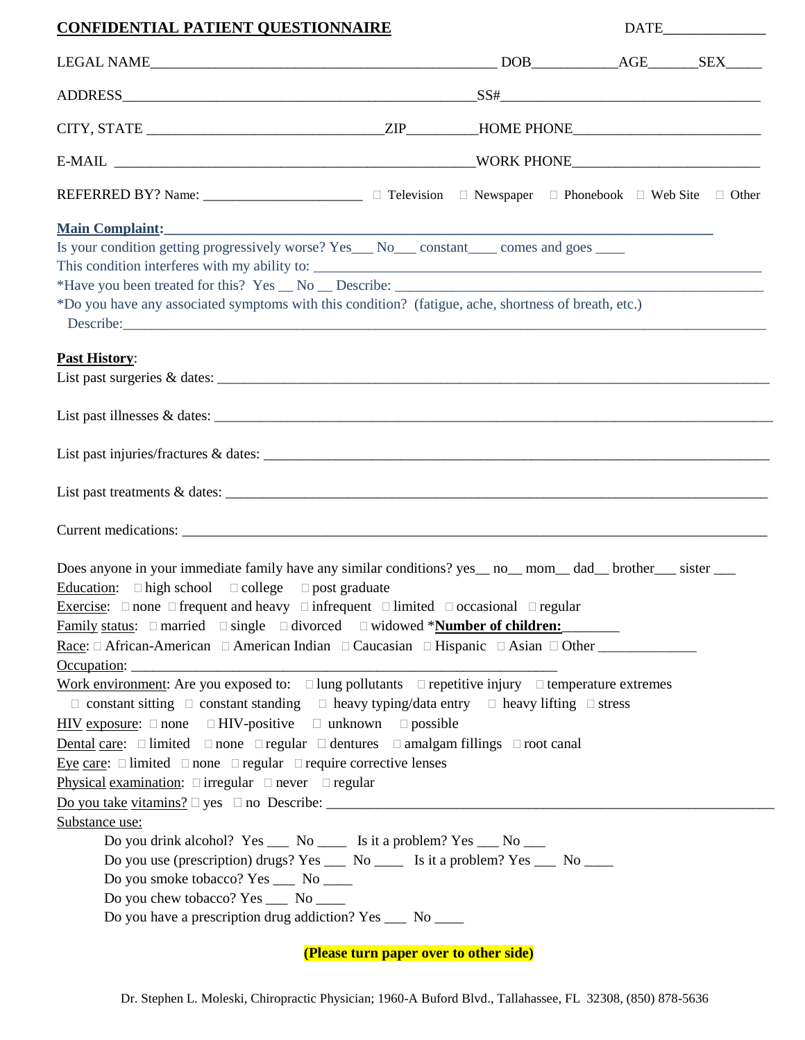| <b>CONFIDENTIAL PATIENT QUESTIONNAIRE</b>                                                                                                                                                                                                                                                                                                                                                                                                                  |  |  |
|------------------------------------------------------------------------------------------------------------------------------------------------------------------------------------------------------------------------------------------------------------------------------------------------------------------------------------------------------------------------------------------------------------------------------------------------------------|--|--|
| $\textbf{LEGAL NAME}\textcolor{red}{_\textbf{LEGAL}}\textbf{NAME}\textcolor{red}{_\textbf{LEGAL}}\textbf{1}_{\textbf{LEGAL}}\textbf{1}_{\textbf{LEGAL}}\textbf{1}_{\textbf{LEGAL}}\textbf{1}_{\textbf{LEGAL}}\textbf{1}_{\textbf{LEGAL}}\textbf{1}_{\textbf{LEGAL}}\textbf{1}_{\textbf{LEGAL}}\textbf{1}_{\textbf{LEGAL}}\textbf{1}_{\textbf{LEGAL}}\textbf{1}_{\textbf{LEGAL}}\textbf{1}_{\textbf{LEGAL}}\textbf{1}_{\textbf{LEGAL}}\textbf{1}_{\textbf{$ |  |  |
|                                                                                                                                                                                                                                                                                                                                                                                                                                                            |  |  |
|                                                                                                                                                                                                                                                                                                                                                                                                                                                            |  |  |
|                                                                                                                                                                                                                                                                                                                                                                                                                                                            |  |  |
| REFERRED BY? Name: __________________________ □ Television □ Newspaper □ Phonebook □ Web Site □ Other                                                                                                                                                                                                                                                                                                                                                      |  |  |
|                                                                                                                                                                                                                                                                                                                                                                                                                                                            |  |  |
| Is your condition getting progressively worse? Yes_ No_ constant_ comes and goes ______                                                                                                                                                                                                                                                                                                                                                                    |  |  |
| *Do you have any associated symptoms with this condition? (fatigue, ache, shortness of breath, etc.)                                                                                                                                                                                                                                                                                                                                                       |  |  |
|                                                                                                                                                                                                                                                                                                                                                                                                                                                            |  |  |
| <b>Past History:</b>                                                                                                                                                                                                                                                                                                                                                                                                                                       |  |  |
|                                                                                                                                                                                                                                                                                                                                                                                                                                                            |  |  |
|                                                                                                                                                                                                                                                                                                                                                                                                                                                            |  |  |
|                                                                                                                                                                                                                                                                                                                                                                                                                                                            |  |  |
|                                                                                                                                                                                                                                                                                                                                                                                                                                                            |  |  |
|                                                                                                                                                                                                                                                                                                                                                                                                                                                            |  |  |
| Does anyone in your immediate family have any similar conditions? yes __ no__ mom__ dad__ brother___ sister ___                                                                                                                                                                                                                                                                                                                                            |  |  |
| Education: $\square$ high school $\square$ college $\square$ post graduate                                                                                                                                                                                                                                                                                                                                                                                 |  |  |
| Exercise: $\Box$ none $\Box$ frequent and heavy $\Box$ infrequent $\Box$ limited $\Box$ occasional $\Box$ regular                                                                                                                                                                                                                                                                                                                                          |  |  |
| Family status: $\Box$ married $\Box$ single $\Box$ divorced $\Box$ widowed * <b>Number of children:</b>                                                                                                                                                                                                                                                                                                                                                    |  |  |
| Race: $\Box$ African-American $\Box$ American Indian $\Box$ Caucasian $\Box$ Hispanic $\Box$ Asian $\Box$ Other                                                                                                                                                                                                                                                                                                                                            |  |  |
| Work environment: Are you exposed to: $\Box$ lung pollutants $\Box$ repetitive injury $\Box$ temperature extremes                                                                                                                                                                                                                                                                                                                                          |  |  |
| $\Box$ constant sitting $\Box$ constant standing $\Box$ heavy typing/data entry $\Box$ heavy lifting $\Box$ stress                                                                                                                                                                                                                                                                                                                                         |  |  |
| $\underline{HIV}$ exposure: $\square$ none $\square$ HIV-positive $\square$ unknown $\square$ possible                                                                                                                                                                                                                                                                                                                                                     |  |  |
| Dental care: $\Box$ limited $\Box$ none $\Box$ regular $\Box$ dentures $\Box$ amalgam fillings $\Box$ root canal                                                                                                                                                                                                                                                                                                                                           |  |  |
| Eye care: $\Box$ limited $\Box$ none $\Box$ regular $\Box$ require corrective lenses                                                                                                                                                                                                                                                                                                                                                                       |  |  |
| Physical examination: $\Box$ irregular $\Box$ never $\Box$ regular                                                                                                                                                                                                                                                                                                                                                                                         |  |  |
|                                                                                                                                                                                                                                                                                                                                                                                                                                                            |  |  |
| Substance use:                                                                                                                                                                                                                                                                                                                                                                                                                                             |  |  |
| Do you drink alcohol? Yes ___ No ____ Is it a problem? Yes ___ No ___                                                                                                                                                                                                                                                                                                                                                                                      |  |  |
| Do you use (prescription) drugs? Yes ______ No _________ Is it a problem? Yes ______ No ______                                                                                                                                                                                                                                                                                                                                                             |  |  |
| Do you smoke tobacco? Yes ____ No _____                                                                                                                                                                                                                                                                                                                                                                                                                    |  |  |
| Do you chew tobacco? Yes ______ No ______                                                                                                                                                                                                                                                                                                                                                                                                                  |  |  |
| Do you have a prescription drug addiction? Yes ___ No ___                                                                                                                                                                                                                                                                                                                                                                                                  |  |  |

**(Please turn paper over to other side)**